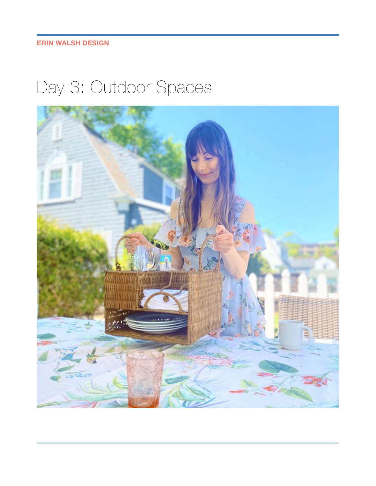# Day 3: Outdoor Spaces

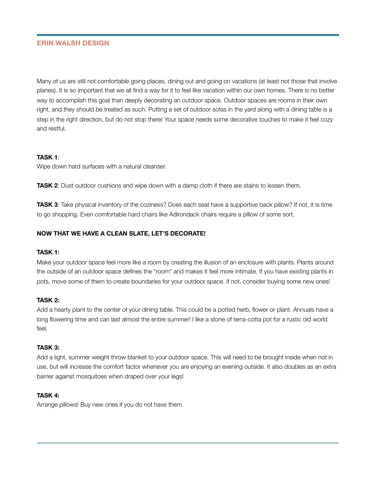## **ERIN WALSH DESIGN**

Many of us are still not comfortable going places, dining out and going on vacations (at least not those that involve planes). It is so important that we all find a way for it to feel like vacation within our own homes. There is no better way to accomplish this goal than deeply decorating an outdoor space. Outdoor spaces are rooms in their own right, and they should be treated as such. Putting a set of outdoor sofas in the yard along with a dining table is a step in the right direction, but do not stop there! Your space needs some decorative touches to make it feel cozy and restful.

#### **TASK 1**:

Wipe down hard surfaces with a natural cleanser.

**TASK 2:** Dust outdoor cushions and wipe down with a damp cloth if there are stains to lessen them.

**TASK 3**: Take physical inventory of the coziness? Does each seat have a supportive back pillow? If not, it is time to go shopping. Even comfortable hard chairs like Adirondack chairs require a pillow of some sort.

## **NOW THAT WE HAVE A CLEAN SLATE, LET'S DECORATE!**

#### **TASK 1:**

Make your outdoor space feel more like a room by creating the illusion of an enclosure with plants. Plants around the outside of an outdoor space defines the "room" and makes it feel more intimate. If you have existing plants in pots, move some of them to create boundaries for your outdoor space. If not, consider buying some new ones!

## **TASK 2:**

Add a hearty plant to the center of your dining table. This could be a potted herb, flower or plant. Annuals have a long flowering time and can last almost the entire summer! I like a stone of terra-cotta pot for a rustic old world feel.

### **TASK 3:**

Add a light, summer weight throw blanket to your outdoor space. This will need to be brought inside when not in use, but will increase the comfort factor whenever you are enjoying an evening outside. It also doubles as an extra barrier against mosquitoes when draped over your legs!

#### **TASK 4:**

Arrange pillows! Buy new ones if you do not have them.